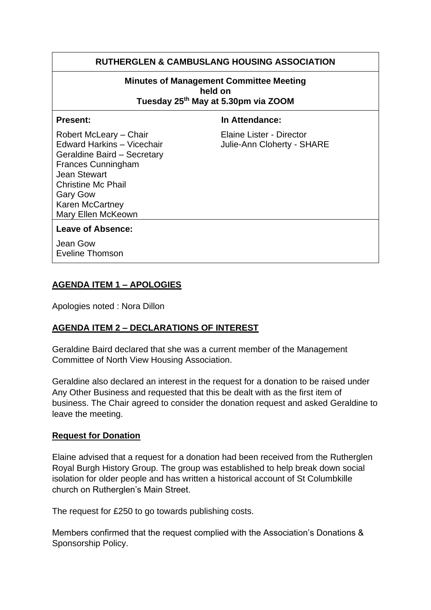## **RUTHERGLEN & CAMBUSLANG HOUSING ASSOCIATION**

#### **Minutes of Management Committee Meeting held on Tuesday 25th May at 5.30pm via ZOOM**

**Present:** In Attendance:

Edward Harkins – Vicechair **Julie-Ann Cloherty - SHARE** Geraldine Baird – Secretary Frances Cunningham Jean Stewart Christine Mc Phail Gary Gow Karen McCartney Mary Ellen McKeown

Robert McLeary – Chair Elaine Lister - Director

#### **Leave of Absence:**

Jean Gow Eveline Thomson

#### **AGENDA ITEM 1 – APOLOGIES**

Apologies noted : Nora Dillon

#### **AGENDA ITEM 2 – DECLARATIONS OF INTEREST**

Geraldine Baird declared that she was a current member of the Management Committee of North View Housing Association.

Geraldine also declared an interest in the request for a donation to be raised under Any Other Business and requested that this be dealt with as the first item of business. The Chair agreed to consider the donation request and asked Geraldine to leave the meeting.

#### **Request for Donation**

Elaine advised that a request for a donation had been received from the Rutherglen Royal Burgh History Group. The group was established to help break down social isolation for older people and has written a historical account of St Columbkille church on Rutherglen's Main Street.

The request for £250 to go towards publishing costs.

Members confirmed that the request complied with the Association's Donations & Sponsorship Policy.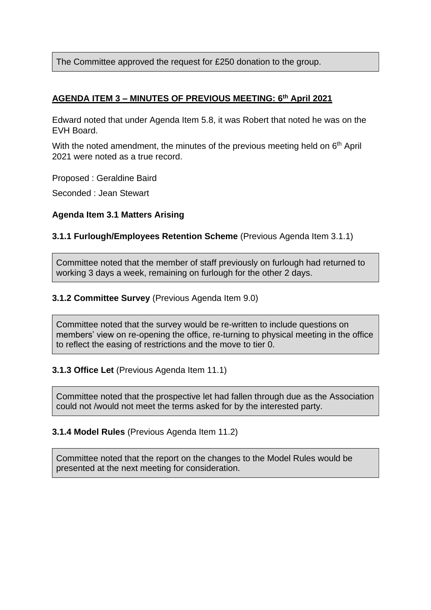The Committee approved the request for £250 donation to the group.

## **AGENDA ITEM 3 – MINUTES OF PREVIOUS MEETING: 6 th April 2021**

Edward noted that under Agenda Item 5.8, it was Robert that noted he was on the EVH Board.

With the noted amendment, the minutes of the previous meeting held on 6<sup>th</sup> April 2021 were noted as a true record.

Proposed : Geraldine Baird

Seconded : Jean Stewart

#### **Agenda Item 3.1 Matters Arising**

#### **3.1.1 Furlough/Employees Retention Scheme** (Previous Agenda Item 3.1.1)

Committee noted that the member of staff previously on furlough had returned to working 3 days a week, remaining on furlough for the other 2 days.

#### **3.1.2 Committee Survey** (Previous Agenda Item 9.0)

Committee noted that the survey would be re-written to include questions on members' view on re-opening the office, re-turning to physical meeting in the office to reflect the easing of restrictions and the move to tier 0.

## **3.1.3 Office Let** (Previous Agenda Item 11.1)

Committee noted that the prospective let had fallen through due as the Association could not /would not meet the terms asked for by the interested party.

#### **3.1.4 Model Rules** (Previous Agenda Item 11.2)

Committee noted that the report on the changes to the Model Rules would be presented at the next meeting for consideration.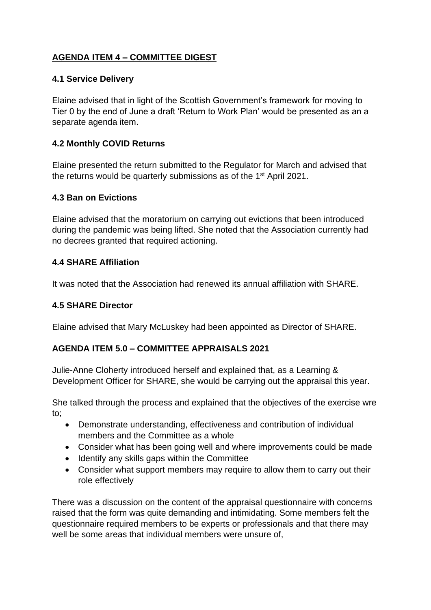# **AGENDA ITEM 4 – COMMITTEE DIGEST**

## **4.1 Service Delivery**

Elaine advised that in light of the Scottish Government's framework for moving to Tier 0 by the end of June a draft 'Return to Work Plan' would be presented as an a separate agenda item.

## **4.2 Monthly COVID Returns**

Elaine presented the return submitted to the Regulator for March and advised that the returns would be quarterly submissions as of the 1<sup>st</sup> April 2021.

#### **4.3 Ban on Evictions**

Elaine advised that the moratorium on carrying out evictions that been introduced during the pandemic was being lifted. She noted that the Association currently had no decrees granted that required actioning.

#### **4.4 SHARE Affiliation**

It was noted that the Association had renewed its annual affiliation with SHARE.

## **4.5 SHARE Director**

Elaine advised that Mary McLuskey had been appointed as Director of SHARE.

## **AGENDA ITEM 5.0 – COMMITTEE APPRAISALS 2021**

Julie-Anne Cloherty introduced herself and explained that, as a Learning & Development Officer for SHARE, she would be carrying out the appraisal this year.

She talked through the process and explained that the objectives of the exercise wre to;

- Demonstrate understanding, effectiveness and contribution of individual members and the Committee as a whole
- Consider what has been going well and where improvements could be made
- Identify any skills gaps within the Committee
- Consider what support members may require to allow them to carry out their role effectively

There was a discussion on the content of the appraisal questionnaire with concerns raised that the form was quite demanding and intimidating. Some members felt the questionnaire required members to be experts or professionals and that there may well be some areas that individual members were unsure of,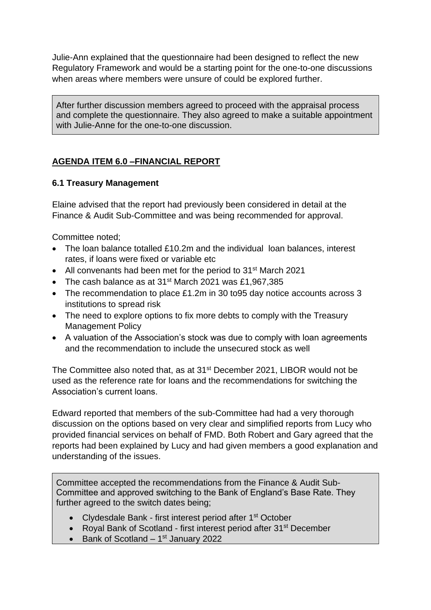Julie-Ann explained that the questionnaire had been designed to reflect the new Regulatory Framework and would be a starting point for the one-to-one discussions when areas where members were unsure of could be explored further.

After further discussion members agreed to proceed with the appraisal process and complete the questionnaire. They also agreed to make a suitable appointment with Julie-Anne for the one-to-one discussion.

## **AGENDA ITEM 6.0 –FINANCIAL REPORT**

#### **6.1 Treasury Management**

Elaine advised that the report had previously been considered in detail at the Finance & Audit Sub-Committee and was being recommended for approval.

Committee noted;

- The loan balance totalled £10.2m and the individual loan balances, interest rates, if loans were fixed or variable etc
- All convenants had been met for the period to 31<sup>st</sup> March 2021
- The cash balance as at 31<sup>st</sup> March 2021 was £1,967,385
- The recommendation to place £1.2m in 30 to 95 day notice accounts across 3 institutions to spread risk
- The need to explore options to fix more debts to comply with the Treasury Management Policy
- A valuation of the Association's stock was due to comply with loan agreements and the recommendation to include the unsecured stock as well

The Committee also noted that, as at 31st December 2021, LIBOR would not be used as the reference rate for loans and the recommendations for switching the Association's current loans.

Edward reported that members of the sub-Committee had had a very thorough discussion on the options based on very clear and simplified reports from Lucy who provided financial services on behalf of FMD. Both Robert and Gary agreed that the reports had been explained by Lucy and had given members a good explanation and understanding of the issues.

Committee accepted the recommendations from the Finance & Audit Sub-Committee and approved switching to the Bank of England's Base Rate. They further agreed to the switch dates being;

- Clydesdale Bank first interest period after 1st October
- Royal Bank of Scotland first interest period after 31<sup>st</sup> December
- Bank of Scotland  $-1$ <sup>st</sup> January 2022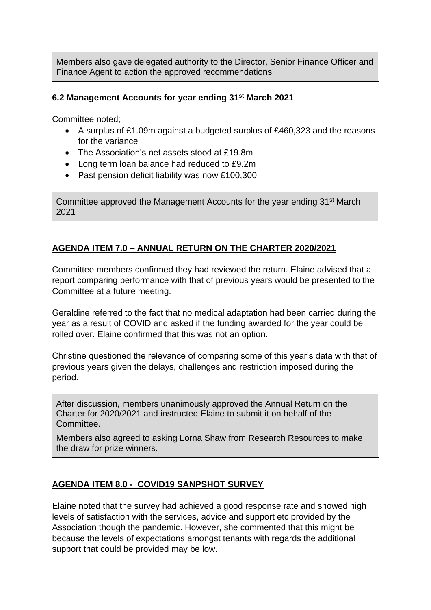Members also gave delegated authority to the Director, Senior Finance Officer and Finance Agent to action the approved recommendations

## **6.2 Management Accounts for year ending 31st March 2021**

Committee noted;

- A surplus of £1.09m against a budgeted surplus of £460,323 and the reasons for the variance
- The Association's net assets stood at £19.8m
- Long term loan balance had reduced to £9.2m
- Past pension deficit liability was now £100,300

Committee approved the Management Accounts for the year ending 31<sup>st</sup> March 2021

## **AGENDA ITEM 7.0 – ANNUAL RETURN ON THE CHARTER 2020/2021**

Committee members confirmed they had reviewed the return. Elaine advised that a report comparing performance with that of previous years would be presented to the Committee at a future meeting.

Geraldine referred to the fact that no medical adaptation had been carried during the year as a result of COVID and asked if the funding awarded for the year could be rolled over. Elaine confirmed that this was not an option.

Christine questioned the relevance of comparing some of this year's data with that of previous years given the delays, challenges and restriction imposed during the period.

After discussion, members unanimously approved the Annual Return on the Charter for 2020/2021 and instructed Elaine to submit it on behalf of the Committee.

Members also agreed to asking Lorna Shaw from Research Resources to make the draw for prize winners.

## **AGENDA ITEM 8.0 - COVID19 SANPSHOT SURVEY**

Elaine noted that the survey had achieved a good response rate and showed high levels of satisfaction with the services, advice and support etc provided by the Association though the pandemic. However, she commented that this might be because the levels of expectations amongst tenants with regards the additional support that could be provided may be low.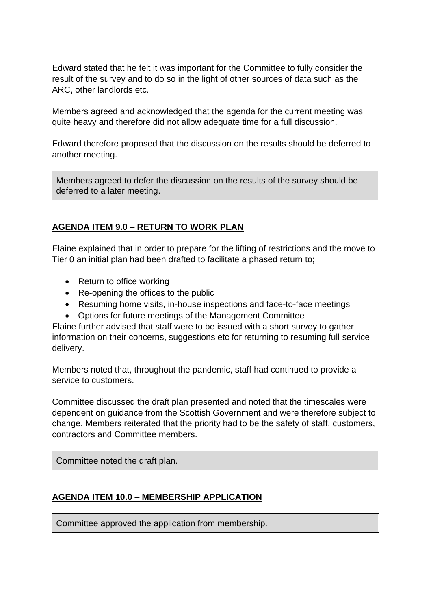Edward stated that he felt it was important for the Committee to fully consider the result of the survey and to do so in the light of other sources of data such as the ARC, other landlords etc.

Members agreed and acknowledged that the agenda for the current meeting was quite heavy and therefore did not allow adequate time for a full discussion.

Edward therefore proposed that the discussion on the results should be deferred to another meeting.

Members agreed to defer the discussion on the results of the survey should be deferred to a later meeting.

## **AGENDA ITEM 9.0 – RETURN TO WORK PLAN**

Elaine explained that in order to prepare for the lifting of restrictions and the move to Tier 0 an initial plan had been drafted to facilitate a phased return to;

- Return to office working
- Re-opening the offices to the public
- Resuming home visits, in-house inspections and face-to-face meetings
- Options for future meetings of the Management Committee

Elaine further advised that staff were to be issued with a short survey to gather information on their concerns, suggestions etc for returning to resuming full service delivery.

Members noted that, throughout the pandemic, staff had continued to provide a service to customers.

Committee discussed the draft plan presented and noted that the timescales were dependent on guidance from the Scottish Government and were therefore subject to change. Members reiterated that the priority had to be the safety of staff, customers, contractors and Committee members.

Committee noted the draft plan.

## **AGENDA ITEM 10.0 – MEMBERSHIP APPLICATION**

Committee approved the application from membership.